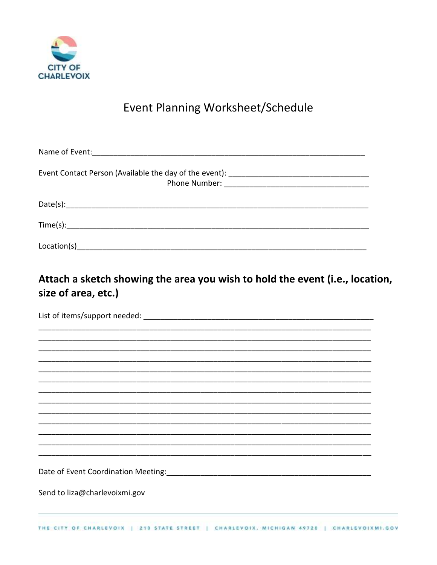

## Event Planning Worksheet/Schedule

| Event Contact Person (Available the day of the event): __________________________ |  |
|-----------------------------------------------------------------------------------|--|
|                                                                                   |  |
| Time(s):                                                                          |  |
| Location(s)                                                                       |  |

## Attach a sketch showing the area you wish to hold the event (i.e., location, size of area, etc.)

| Date of Event Coordination Meeting: Manual Accordination of Event Coordination Meeting:    |  |
|--------------------------------------------------------------------------------------------|--|
|                                                                                            |  |
| Send to liza@charlevoixmi.gov                                                              |  |
|                                                                                            |  |
| THE CITY OF CHARLEVOIX   210 STATE STREET   CHARLEVOIX, MICHIGAN 49720<br>CHARLEVOIXMI.GOV |  |
|                                                                                            |  |